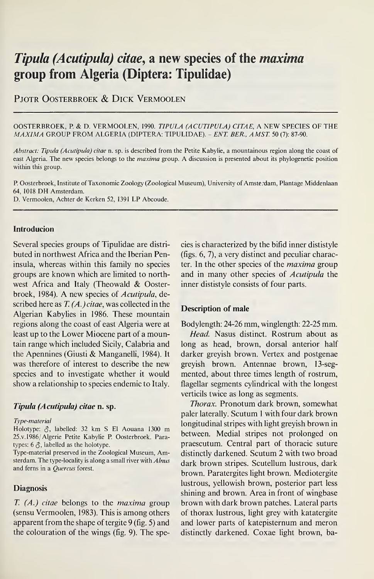# Tipula (Acutipula) citae, a new species of the maxima group from Algeria (Diptera: Tipulidae)

# PIOTR OOSTERBROEK & DICK VERMOOLEN

#### OOSTERBROEK, P. & D. VERMOOLEN, 1990. TIPULA (ACUTIPULA) CITAE, A NEW SPECIES OF THE MAXIMA GROUP FROM ALGERIA (DIPTERA: TIPULIDAE). - ENT. BER., AMST. 50 (7): 87-90.

Abstract: Tipula (Acutipula) citae n. sp. is described from the Petite Kabylie, a mountainous region along the coast of east Algeria. The new species belongs to the maxima group. A discussion is presented about its phylogenetic position within this group.

P. Oosterbroek, Institute of Taxonomic Zoology (Zoological Museum), University of Amsterdam, Plantage Middenlaan 64, 1018 DH Amsterdam.

D. Vermoolen, Achter de Kerken 52, 1391 LP Abcoude.

# Introducion

Several species groups of Tipulidae are distributed in northwest Africa and the Iberian Peninsula, whereas within this family no species groups are known which are limited to northwest Africa and Italy (Theowald & Oosterbroek, 1984). A new species of Acutipula, described here as  $T_{\cdot}(A_{\cdot})$  citae, was collected in the Algerian Kabylies in 1986. These mountain regions along the coast of east Algeria were at least up to the Lower Miocene part of a mountain range which included Sicily, Calabria and the Apennines (Giusti & Manganelli, 1984). It was therefore of interest to describe the new species and to investigate whether it would show a relationship to species endemic to Italy.

### Tipula (Acutipula) citae n. sp.

#### Type-material

Holotype:  $\delta$ , labelled: 32 km S El Aouana 1300 m 25.v.1986/Algerie Petite Kabylie P. Oosterbroek. Paratypes:  $6 \delta$ , labelled as the holotype.

Type-material preserved in the Zoological Museum, Am sterdam. The type-locality is along a small river with Alnus and ferns in a Quercus forest.

#### Diagnosis

 $T. (A.)$  citae belongs to the *maxima* group (sensu Vermoolen, 1983). This is among others apparent from the shape of tergite  $9$  (fig. 5) and the colouration of the wings (fig. 9). The species is characterized by the bifid inner dististyle (figs.  $6, 7$ ), a very distinct and peculiar character. In the other species of the maxima group and in many other species of Acutipula the inner dististyle consists of four parts.

#### Description of male

Bodylength: 24-26 mm, winglength: 22-25 mm.

Head. Nasus distinct. Rostrum about as long as head, brown, dorsal anterior half darker greyish brown. Vertex and postgenae greyish brown. Antennae brown, 13-segmented, about three times length of rostrum, flagellar segments cylindrical with the longest verticils twice as long as segments.

Thorax. Pronotum dark brown, somewhat paler laterally. Scutum <sup>1</sup> with four dark brown longitudinal stripes with light greyish brown in between. Medial stripes not prolonged on praescutum. Central part of thoracic suture distinctly darkened. Scutum 2 with two broad dark brown stripes. Scutellum lustrous, dark brown. Paratergites light brown. Mediotergite lustrous, yellowish brown, posterior part less shining and brown. Area in front of wingbase brown with dark brown patches. Lateral parts of thorax lustrous, light grey with katatergite and lower parts of katepisternum and meron distinctly darkened. Coxae light brown, ba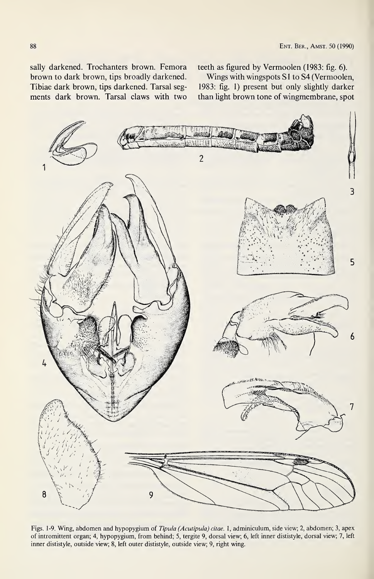sally darkened. Trochanters brown. Femora brown to dark brown, tips broadly darkened. Tibiae dark brown, tips darkened. Tarsal segments dark brown. Tarsal claws with two teeth as figured by Vermoolen (1983: fig. 6).

Wings with wingspots S1 to S4 (Vermoolen, 1983: fig. 1) present but only slightly darker than light brown tone of wingmembrane, spot



Figs. 1-9. Wing, abdomen and hypopygium of Tipula (Acutipula) citae. 1, adminiculum, side view; 2, abdomen; 3, apex of intromittent organ; 4, hypopygium, from behind; 5, tergite 9, dorsal view; 6, left inner dististyle, dorsal view; 7, left inner dististyle, outside view; 8, left outer dististyle, outside view; 9, right wing.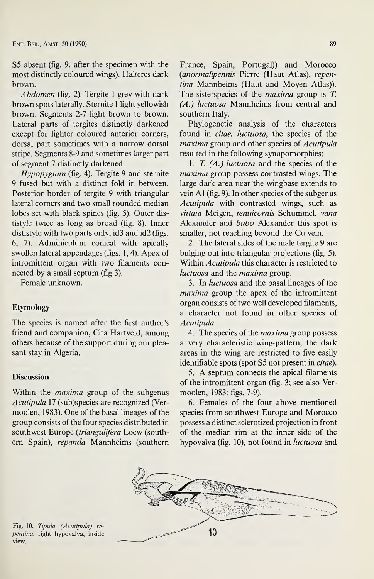S5 absent (fig. 9, after the specimen with the most distinctly coloured wings). Halteres dark brown.

Abdomen (fig. 2). Tergite I grey with dark brown spots laterally. Sternite <sup>1</sup> light yellowish brown. Segments 2-7 light brown to brown. Lateral parts of tergites distinctly darkened except for lighter coloured anterior corners, dorsal part sometimes with a narrow dorsal stripe. Segments 8-9 and sometimes larger part of segment 7 distinctly darkened.

Hypopygium (fig. 4). Tergite 9 and sternite 9 fused but with a distinct fold in between. Posterior border of tergite 9 with triangular lateral corners and two small rounded median lobes set with black spines (fig. 5). Outer dististyle twice as long as broad (fig. 8). Inner dististyle with two parts only, id3 and id2 (figs. 6, 7). Adminiculum conical with apically swollen lateral appendages (figs. 1,4). Apex of intromittent organ with two filaments connected by a small septum (fig 3).

Female unknown.

## Etymology

The species is named after the first author's friend and companion, Cita Hartveld, among others because of the support during our pleasant stay in Algeria.

# **Discussion**

Within the *maxima* group of the subgenus Acutipula 17 (sub)species are recognized (Vermoolen, 1983). One of the basal lineages of the group consists of the four species distributed in southwest Europe (triangulifera Loew (southern Spain), repanda Mannheims (southern France, Spain, Portugal)) and Morocco (anormalipennis Pierre (Haut Atlas), repentina Mannheims (Haut and Moyen Atlas)). The sisterspecies of the *maxima* group is T. (A.) luctuosa Mannheims from central and southern Italy.

Phylogenetic analysis of the characters found in *citae*, *luctuosa*, the species of the maxima group and other species of Acutipula resulted in the following synapomorphies:

1. T.  $(A.)$  luctuosa and the species of the maxima group possess contrasted wings. The large dark area near the wingbase extends to vein  $A1$  (fig. 9). In other species of the subgenus Acutipula with contrasted wings, such as vittata Meigen, tenuicornis Schummel, vana Alexander and bubo Alexander this spot is smaller, not reaching beyond the Cu vein.

2. The lateral sides of the male tergite 9 are bulging out into triangular projections (fig. 5). Within Acutipula this character is restricted to luctuosa and the maxima group.

3. In luctuosa and the basal lineages of the maxima group the apex of the intromittent organ consists of two well developed filaments, a character not found in other species of Acutipula.

4. The species of the *maxima* group possess a very characteristic wing-pattern, the dark areas in the wing are restricted to five easily identifiable spots (spot S5 not present in citae).

5. A septum connects the apical filaments of the intromittent organ (fig. 3; see also Vermoolen, 1983: figs. 7-9).

6. Females of the four above mentioned species from southwest Europe and Morocco possess a distinct sclerotized projection in front of the median rim at the inner side of the hypovalva (fig. 10), not found in *luctuosa* and



Fig. 10. Tipula (Acutipula) repentina, right hypovalva, inside view.